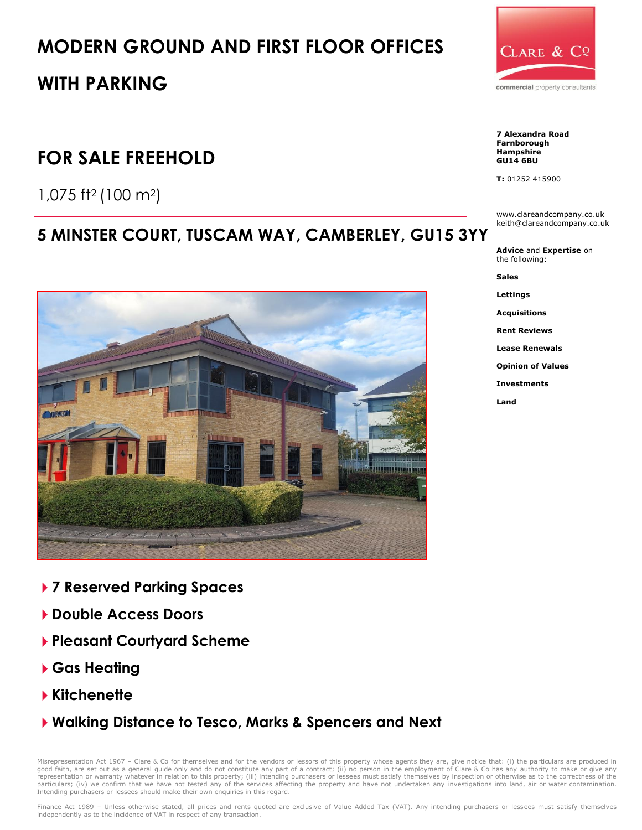# **MODERN GROUND AND FIRST FLOOR OFFICES**

## **WITH PARKING**

## **FOR SALE FREEHOLD**

1,075 ft<sup>2</sup> (100 m2)

## **5 MINSTER COURT, TUSCAM WAY, CAMBERLEY, GU15 3YY**



- **7 Reserved Parking Spaces**
- **Double Access Doors**
- **Pleasant Courtyard Scheme**
- **Gas Heating**
- **Kitchenette**
- **Walking Distance to Tesco, Marks & Spencers and Next**

Misrepresentation Act 1967 – Clare & Co for themselves and for the vendors or lessors of this property whose agents they are, give notice that: (i) the particulars are produced in<br>good faith, are set out as a general guide representation or warranty whatever in relation to this property; (iii) intending purchasers or lessees must satisfy themselves by inspection or otherwise as to the correctness of the particulars; (iv) we confirm that we have not tested any of the services affecting the property and have not undertaken any investigations into land, air or water contamination. Intending purchasers or lessees should make their own enquiries in this regard.



**7 Alexandra Road Farnborough Hampshire GU14 6BU**

**T:** 01252 415900

www.clareandcompany.co.uk keith@clareandcompany.co.uk

**Advice** and **Expertise** on the following:

**Sales**

**Lettings**

**Acquisitions**

**Rent Reviews**

**Lease Renewals**

**Opinion of Values**

**Investments**

**Land**

Finance Act 1989 - Unless otherwise stated, all prices and rents quoted are exclusive of Value Added Tax (VAT). Any intending purchasers or lessees must satisfy themselves independently as to the incidence of VAT in respect of any transaction.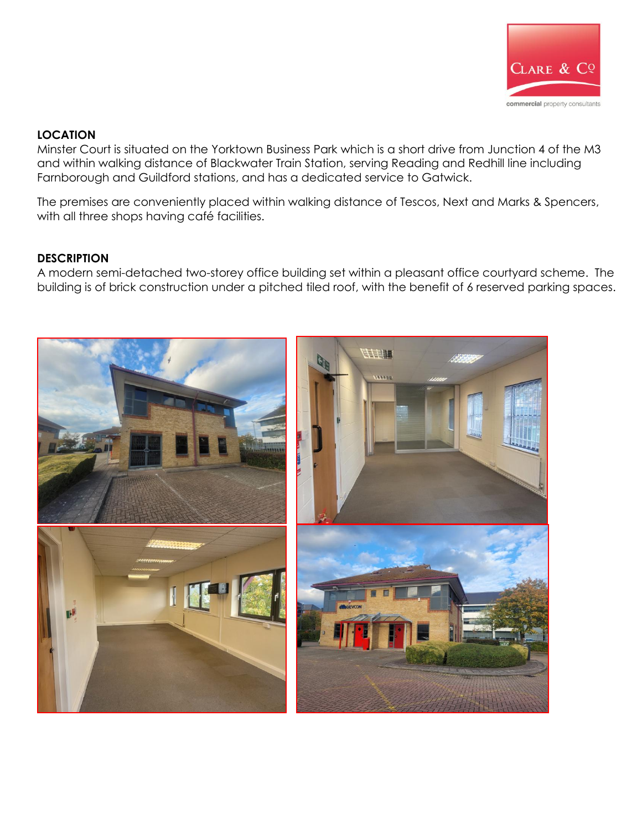

#### **LOCATION**

Minster Court is situated on the Yorktown Business Park which is a short drive from Junction 4 of the M3 and within walking distance of Blackwater Train Station, serving Reading and Redhill line including Farnborough and Guildford stations, and has a dedicated service to Gatwick.

The premises are conveniently placed within walking distance of Tescos, Next and Marks & Spencers, with all three shops having café facilities.

### **DESCRIPTION**

A modern semi-detached two-storey office building set within a pleasant office courtyard scheme. The building is of brick construction under a pitched tiled roof, with the benefit of 6 reserved parking spaces.

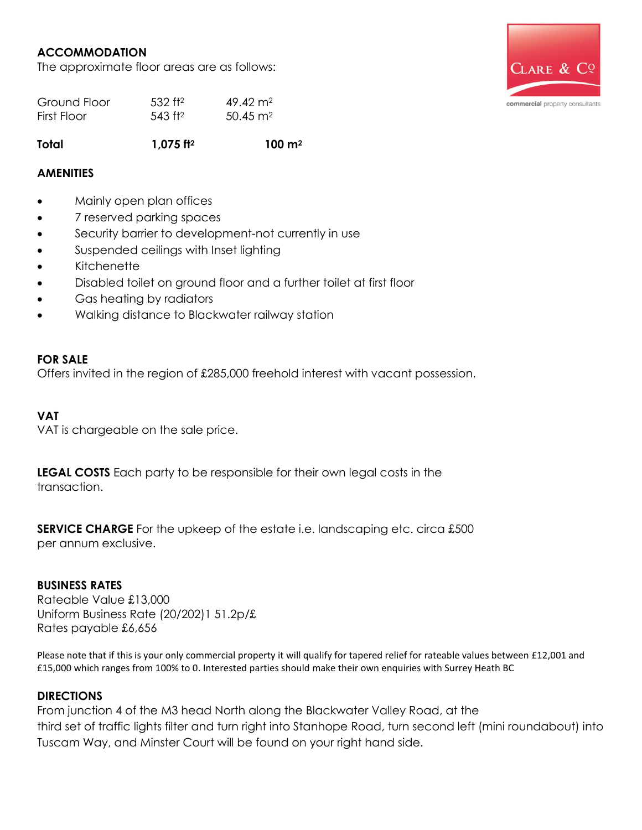### **ACCOMMODATION**

The approximate floor areas are as follows:



| Ground Floor | $532$ ft <sup>2</sup>  | $49.42 \text{ m}^2$ |
|--------------|------------------------|---------------------|
| First Floor  | $.543$ ft <sup>2</sup> | $50.45 \text{ m}^2$ |

**Total 1,075 ft<sup>2</sup> 100 m<sup>2</sup>**

### **AMENITIES**

- Mainly open plan offices
- 7 reserved parking spaces
- Security barrier to development-not currently in use
- Suspended ceilings with Inset lighting
- **Kitchenette**
- Disabled toilet on ground floor and a further toilet at first floor
- Gas heating by radiators
- Walking distance to Blackwater railway station

#### **FOR SALE**

Offers invited in the region of £285,000 freehold interest with vacant possession.

#### **VAT**

VAT is chargeable on the sale price.

**LEGAL COSTS** Each party to be responsible for their own legal costs in the transaction.

**SERVICE CHARGE** For the upkeep of the estate i.e. landscaping etc. circa £500 per annum exclusive.

#### **BUSINESS RATES**

Rateable Value £13,000 Uniform Business Rate (20/202)1 51.2p/£ Rates payable £6,656

Please note that if this is your only commercial property it will qualify for tapered relief for rateable values between £12,001 and £15,000 which ranges from 100% to 0. Interested parties should make their own enquiries with Surrey Heath BC

### **DIRECTIONS**

From junction 4 of the M3 head North along the Blackwater Valley Road, at the third set of traffic lights filter and turn right into Stanhope Road, turn second left (mini roundabout) into Tuscam Way, and Minster Court will be found on your right hand side.